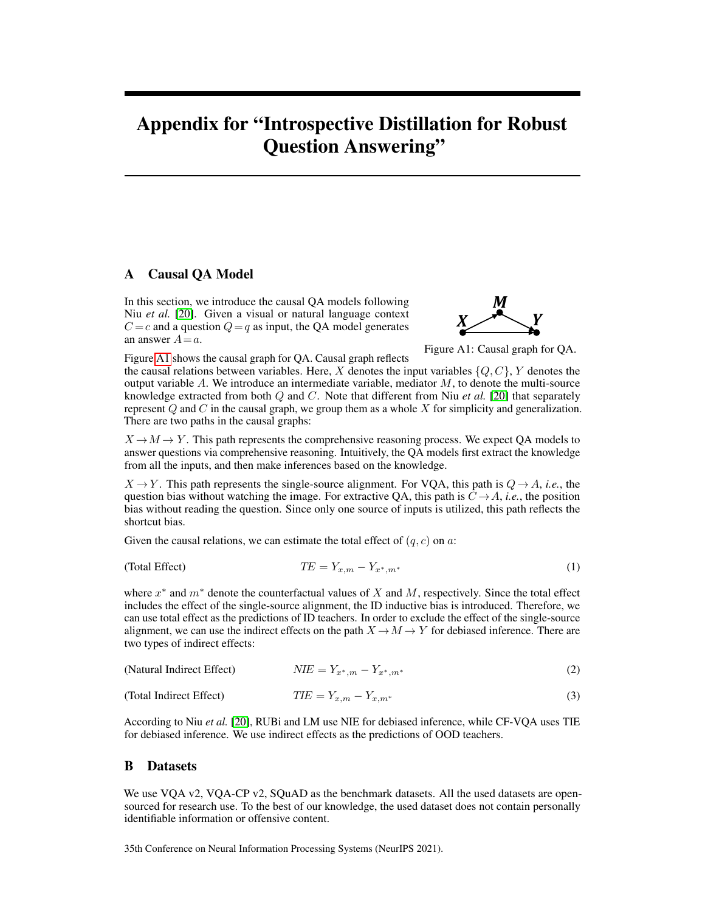# Appendix for "Introspective Distillation for Robust Question Answering"

# A Causal QA Model

In this section, we introduce the causal QA models following Niu *et al.* [\[20\]](#page-4-0). Given a visual or natural language context  $C = c$  and a question  $Q = q$  as input, the QA model generates an answer  $A=a$ .

<span id="page-0-0"></span>

Figure A1: Causal graph for QA.

Figure [A1](#page-0-0) shows the causal graph for QA. Causal graph reflects the causal relations between variables. Here, X denotes the input variables  $\{Q, C\}$ , Y denotes the output variable  $A$ . We introduce an intermediate variable, mediator  $M$ , to denote the multi-source knowledge extracted from both Q and C. Note that different from Niu *et al.* [\[20\]](#page-4-0) that separately represent  $Q$  and  $C$  in the causal graph, we group them as a whole  $X$  for simplicity and generalization. There are two paths in the causal graphs:

 $X \to M \to Y$ . This path represents the comprehensive reasoning process. We expect QA models to answer questions via comprehensive reasoning. Intuitively, the QA models first extract the knowledge from all the inputs, and then make inferences based on the knowledge.

 $X \rightarrow Y$ . This path represents the single-source alignment. For VQA, this path is  $Q \rightarrow A$ , *i.e.*, the question bias without watching the image. For extractive QA, this path is  $C \rightarrow A$ , *i.e.*, the position bias without reading the question. Since only one source of inputs is utilized, this path reflects the shortcut bias.

Given the causal relations, we can estimate the total effect of  $(q, c)$  on a:

$$
(Total Effect) \t\t TE = Y_{x,m} - Y_{x^*,m^*}
$$
\t(1)

where  $x^*$  and  $m^*$  denote the counterfactual values of X and M, respectively. Since the total effect includes the effect of the single-source alignment, the ID inductive bias is introduced. Therefore, we can use total effect as the predictions of ID teachers. In order to exclude the effect of the single-source alignment, we can use the indirect effects on the path  $X \to M \to Y$  for debiased inference. There are two types of indirect effects:

| (Natural Indirect Effect) | $NIE = Y_{x^*,m} - Y_{x^*,m^*}$ | (2) |
|---------------------------|---------------------------------|-----|
|---------------------------|---------------------------------|-----|

$$
(Total Indirect Effect) \t\t TIE = Y_{x,m} - Y_{x,m^*}
$$
\n(3)

According to Niu *et al.* [\[20\]](#page-4-0), RUBi and LM use NIE for debiased inference, while CF-VQA uses TIE for debiased inference. We use indirect effects as the predictions of OOD teachers.

## B Datasets

We use VQA v2, VQA-CP v2, SQuAD as the benchmark datasets. All the used datasets are opensourced for research use. To the best of our knowledge, the used dataset does not contain personally identifiable information or offensive content.

35th Conference on Neural Information Processing Systems (NeurIPS 2021).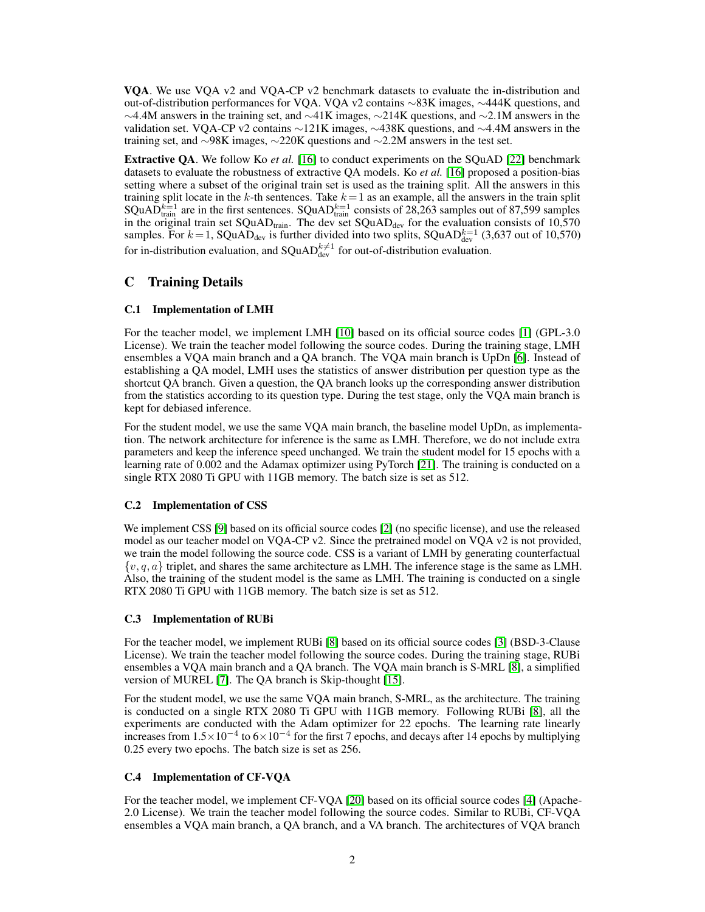VQA. We use VQA v2 and VQA-CP v2 benchmark datasets to evaluate the in-distribution and out-of-distribution performances for VQA. VQA v2 contains ∼83K images, ∼444K questions, and  $\sim$ 4.4M answers in the training set, and  $\sim$ 41K images,  $\sim$ 214K questions, and  $\sim$ 2.1M answers in the validation set. VQA-CP v2 contains ∼121K images, ∼438K questions, and ∼4.4M answers in the training set, and ∼98K images, ∼220K questions and ∼2.2M answers in the test set.

Extractive QA. We follow Ko *et al.* [\[16\]](#page-4-1) to conduct experiments on the SQuAD [\[22\]](#page-5-0) benchmark datasets to evaluate the robustness of extractive QA models. Ko *et al.* [\[16\]](#page-4-1) proposed a position-bias setting where a subset of the original train set is used as the training split. All the answers in this training split locate in the k-th sentences. Take  $k = 1$  as an example, all the answers in the train split SQuAD $k=1$  are in the first sentences. SQuAD $k=1$  consists of 28,263 samples out of 87,599 samples in the original train set  $\text{SQuAD}_\text{train}$ . The dev set  $\text{SQuAD}_\text{dev}$  for the evaluation consists of 10,570 samples. For  $k = 1$ , SQuAD<sub>dev</sub> is further divided into two splits, SQuAD $_{\text{dev}}^{k=1}$  (3,637 out of 10,570) for in-distribution evaluation, and SQuAD $_{\text{dev}}^{k\neq 1}$  for out-of-distribution evaluation.

# C Training Details

## C.1 Implementation of LMH

For the teacher model, we implement LMH [\[10\]](#page-4-2) based on its official source codes [\[1\]](#page-3-0) (GPL-3.0 License). We train the teacher model following the source codes. During the training stage, LMH ensembles a VQA main branch and a QA branch. The VQA main branch is UpDn [\[6\]](#page-4-3). Instead of establishing a QA model, LMH uses the statistics of answer distribution per question type as the shortcut QA branch. Given a question, the QA branch looks up the corresponding answer distribution from the statistics according to its question type. During the test stage, only the VQA main branch is kept for debiased inference.

For the student model, we use the same VQA main branch, the baseline model UpDn, as implementation. The network architecture for inference is the same as LMH. Therefore, we do not include extra parameters and keep the inference speed unchanged. We train the student model for 15 epochs with a learning rate of 0.002 and the Adamax optimizer using PyTorch [\[21\]](#page-4-4). The training is conducted on a single RTX 2080 Ti GPU with 11GB memory. The batch size is set as 512.

## C.2 Implementation of CSS

We implement CSS [\[9\]](#page-4-5) based on its official source codes [\[2\]](#page-4-6) (no specific license), and use the released model as our teacher model on VQA-CP v2. Since the pretrained model on VQA v2 is not provided, we train the model following the source code. CSS is a variant of LMH by generating counterfactual  $\{v, q, a\}$  triplet, and shares the same architecture as LMH. The inference stage is the same as LMH. Also, the training of the student model is the same as LMH. The training is conducted on a single RTX 2080 Ti GPU with 11GB memory. The batch size is set as 512.

## C.3 Implementation of RUBi

For the teacher model, we implement RUBi [\[8\]](#page-4-7) based on its official source codes [\[3\]](#page-4-8) (BSD-3-Clause License). We train the teacher model following the source codes. During the training stage, RUBi ensembles a VQA main branch and a QA branch. The VQA main branch is S-MRL [\[8\]](#page-4-7), a simplified version of MUREL [\[7\]](#page-4-9). The QA branch is Skip-thought [\[15\]](#page-4-10).

For the student model, we use the same VQA main branch, S-MRL, as the architecture. The training is conducted on a single RTX 2080 Ti GPU with 11GB memory. Following RUBi [\[8\]](#page-4-7), all the experiments are conducted with the Adam optimizer for 22 epochs. The learning rate linearly increases from  $1.5 \times 10^{-4}$  to  $6 \times 10^{-4}$  for the first 7 epochs, and decays after 14 epochs by multiplying 0.25 every two epochs. The batch size is set as 256.

## C.4 Implementation of CF-VQA

For the teacher model, we implement CF-VQA [\[20\]](#page-4-0) based on its official source codes [\[4\]](#page-4-11) (Apache-2.0 License). We train the teacher model following the source codes. Similar to RUBi, CF-VQA ensembles a VQA main branch, a QA branch, and a VA branch. The architectures of VQA branch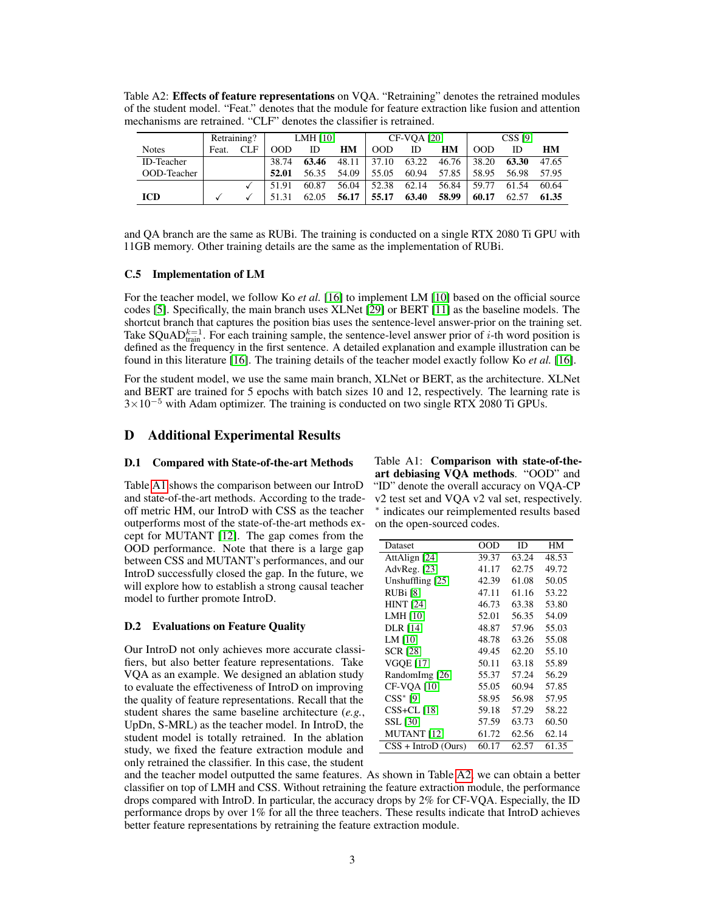<span id="page-2-1"></span>Table A2: Effects of feature representations on VQA. "Retraining" denotes the retrained modules of the student model. "Feat." denotes that the module for feature extraction like fusion and attention mechanisms are retrained. "CLF" denotes the classifier is retrained.

|                   | Retraining? |     | <b>LMH [10]</b> |       | <b>CF-VOA [20]</b> |       |       | <b>CSS [9]</b> |       |       |       |
|-------------------|-------------|-----|-----------------|-------|--------------------|-------|-------|----------------|-------|-------|-------|
| <b>Notes</b>      | Feat.       | CLF | 00D             | ID    | HМ                 | 00D   | ID    | HМ             | 00D   | ID    | HМ    |
| <b>ID-Teacher</b> |             |     | 38.74           | 63.46 | 48.11              | 37.10 | 63.22 | 46.76          | 38.20 | 63.30 | 47.65 |
| OOD-Teacher       |             |     | 52.01           | 56.35 | 54.09              | 55.05 | 60.94 | 57.85          | 58.95 | 56.98 | 57.95 |
|                   |             |     | 51.91           | 60.87 | 56.04              | 52.38 | 62.14 | 56.84          | 59.77 | 61.54 | 60.64 |
| <b>ICD</b>        |             |     |                 | 62.05 | 56.17              | 55.17 | 63.40 | 58.99          | 60.17 | 62.57 | 61.35 |

and QA branch are the same as RUBi. The training is conducted on a single RTX 2080 Ti GPU with 11GB memory. Other training details are the same as the implementation of RUBi.

#### C.5 Implementation of LM

For the teacher model, we follow Ko *et al.* [\[16\]](#page-4-1) to implement LM [\[10\]](#page-4-2) based on the official source codes [\[5\]](#page-4-12). Specifically, the main branch uses XLNet [\[29\]](#page-5-1) or BERT [\[11\]](#page-4-13) as the baseline models. The shortcut branch that captures the position bias uses the sentence-level answer-prior on the training set. Take SQuAD $_{\text{train}}^{k=1}$ . For each training sample, the sentence-level answer prior of *i*-th word position is defined as the frequency in the first sentence. A detailed explanation and example illustration can be found in this literature [\[16\]](#page-4-1). The training details of the teacher model exactly follow Ko *et al.* [\[16\]](#page-4-1).

For the student model, we use the same main branch, XLNet or BERT, as the architecture. XLNet and BERT are trained for 5 epochs with batch sizes 10 and 12, respectively. The learning rate is  $3\times10^{-5}$  with Adam optimizer. The training is conducted on two single RTX 2080 Ti GPUs.

# D Additional Experimental Results

## D.1 Compared with State-of-the-art Methods Table A1: Comparison with state-of-the-

Table [A1](#page-2-0) shows the comparison between our IntroD and state-of-the-art methods. According to the tradeoff metric HM, our IntroD with CSS as the teacher outperforms most of the state-of-the-art methods except for MUTANT [\[12\]](#page-4-17). The gap comes from the OOD performance. Note that there is a large gap between CSS and MUTANT's performances, and our IntroD successfully closed the gap. In the future, we will explore how to establish a strong causal teacher model to further promote IntroD.

#### D.2 Evaluations on Feature Quality

Our IntroD not only achieves more accurate classifiers, but also better feature representations. Take VQA as an example. We designed an ablation study to evaluate the effectiveness of IntroD on improving the quality of feature representations. Recall that the student shares the same baseline architecture (*e.g.*, UpDn, S-MRL) as the teacher model. In IntroD, the student model is totally retrained. In the ablation study, we fixed the feature extraction module and only retrained the classifier. In this case, the student

<span id="page-2-0"></span>art debiasing VQA methods. "OOD" and "ID" denote the overall accuracy on VQA-CP v2 test set and VQA v2 val set, respectively. ∗ indicates our reimplemented results based on the open-sourced codes.

| Dataset               | OOD   | ID    | HМ    |
|-----------------------|-------|-------|-------|
| AttAlign [24]         | 39.37 | 63.24 | 48.53 |
| AdvReg. $[23]$        | 41.17 | 62.75 | 49.72 |
| Unshuffling [25]      | 42.39 | 61.08 | 50.05 |
| RUBi [8]              | 47.11 | 61.16 | 53.22 |
| <b>HINT</b> [24]      | 46.73 | 63.38 | 53.80 |
| LMH [10]              | 52.01 | 56.35 | 54.09 |
| <b>DLR</b> [14]       | 48.87 | 57.96 | 55.03 |
| LM [10]               | 48.78 | 63.26 | 55.08 |
| SCR [28]              | 49.45 | 62.20 | 55.10 |
| <b>VGOE [17]</b>      | 50.11 | 63.18 | 55.89 |
| RandomImg [26]        | 55.37 | 57.24 | 56.29 |
| <b>CF-VOA [10]</b>    | 55.05 | 60.94 | 57.85 |
| $CSS*$ [9]            | 58.95 | 56.98 | 57.95 |
| $CSS+CL$ [18]         | 59.18 | 57.29 | 58.22 |
| SSL [30]              | 57.59 | 63.73 | 60.50 |
| <b>MUTANT</b> [12]    | 61.72 | 62.56 | 62.14 |
| $CSS + IntroD (Ours)$ | 60.17 | 62.57 | 61.35 |

and the teacher model outputted the same features. As shown in Table [A2,](#page-2-1) we can obtain a better classifier on top of LMH and CSS. Without retraining the feature extraction module, the performance drops compared with IntroD. In particular, the accuracy drops by 2% for CF-VQA. Especially, the ID performance drops by over 1% for all the three teachers. These results indicate that IntroD achieves better feature representations by retraining the feature extraction module.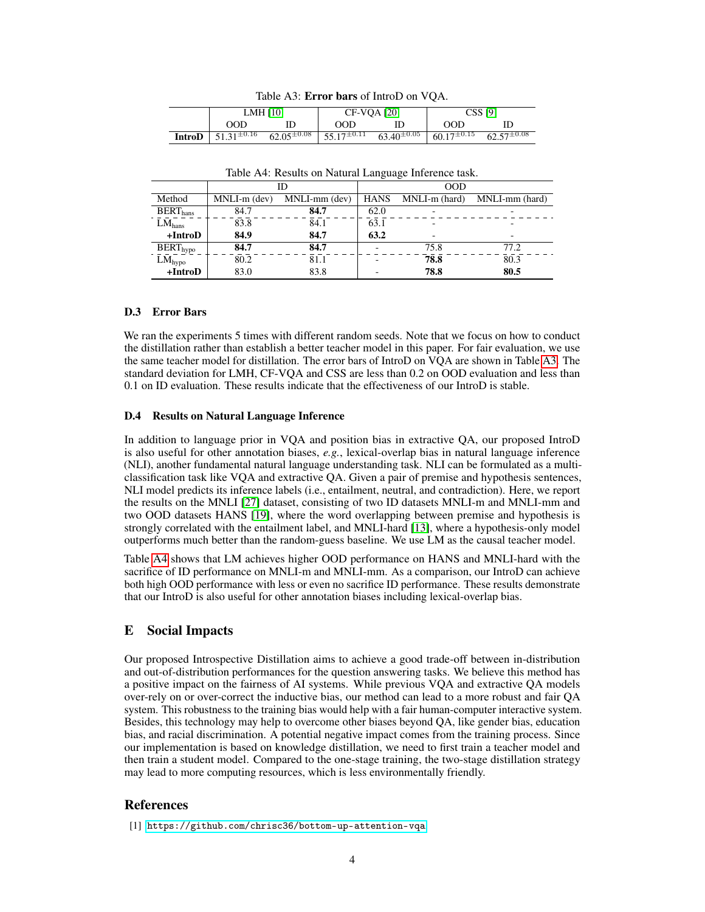<span id="page-3-1"></span>

|                                                                                                                                                                                   | LMH $[10]$ | <b>CF-VOA [20]</b> | <b>CSS</b> [9] |  |  |
|-----------------------------------------------------------------------------------------------------------------------------------------------------------------------------------|------------|--------------------|----------------|--|--|
| OOD.                                                                                                                                                                              |            | OOD.               | OOD.           |  |  |
| <b>IntroD</b> $\begin{array}{ l} 51.31^{\pm 0.16} \quad 62.05^{\pm 0.08} \quad 55.17^{\pm 0.11} \quad 63.40^{\pm 0.05} \quad 60.17^{\pm 0.15} \quad 62.57^{\pm 0.08} \end{array}$ |            |                    |                |  |  |

Table A3: Error bars of IntroD on VQA.

Table A4: Results on Natural Language Inference task.

<span id="page-3-2"></span>

|                             |              | ID            | 00D         |                          |                |  |
|-----------------------------|--------------|---------------|-------------|--------------------------|----------------|--|
| Method                      | MNLI-m (dev) | MNLI-mm (dev) | <b>HANS</b> | MNLI-m (hard)            | MNLI-mm (hard) |  |
| BERT <sub>hans</sub>        | 84.7         | 84.7          | 62.0        |                          |                |  |
| $LM_{\text{hans}}$          | 83.8         | 84.1          | 63.1        | $\overline{\phantom{0}}$ |                |  |
| $+IntroD$                   | 84.9         | 84.7          | 63.2        |                          |                |  |
| <b>BERT</b> <sub>hypo</sub> | 84.7         | 84.7          |             | 75.8                     | 77.2           |  |
| $LM_{hypo}$                 | 80.2         | 81.1          |             | 78.8                     | 80.3           |  |
| $+IntroD$                   | 83.0         | 83.8          |             | 78.8                     | 80.5           |  |

### D.3 Error Bars

We ran the experiments 5 times with different random seeds. Note that we focus on how to conduct the distillation rather than establish a better teacher model in this paper. For fair evaluation, we use the same teacher model for distillation. The error bars of IntroD on VQA are shown in Table [A3.](#page-3-1) The standard deviation for LMH, CF-VQA and CSS are less than 0.2 on OOD evaluation and less than 0.1 on ID evaluation. These results indicate that the effectiveness of our IntroD is stable.

#### D.4 Results on Natural Language Inference

In addition to language prior in VQA and position bias in extractive QA, our proposed IntroD is also useful for other annotation biases, *e.g.*, lexical-overlap bias in natural language inference (NLI), another fundamental natural language understanding task. NLI can be formulated as a multiclassification task like VQA and extractive QA. Given a pair of premise and hypothesis sentences, NLI model predicts its inference labels (i.e., entailment, neutral, and contradiction). Here, we report the results on the MNLI [\[27\]](#page-5-8) dataset, consisting of two ID datasets MNLI-m and MNLI-mm and two OOD datasets HANS [\[19\]](#page-4-18), where the word overlapping between premise and hypothesis is strongly correlated with the entailment label, and MNLI-hard [\[13\]](#page-4-19), where a hypothesis-only model outperforms much better than the random-guess baseline. We use LM as the causal teacher model.

Table [A4](#page-3-2) shows that LM achieves higher OOD performance on HANS and MNLI-hard with the sacrifice of ID performance on MNLI-m and MNLI-mm. As a comparison, our IntroD can achieve both high OOD performance with less or even no sacrifice ID performance. These results demonstrate that our IntroD is also useful for other annotation biases including lexical-overlap bias.

# E Social Impacts

Our proposed Introspective Distillation aims to achieve a good trade-off between in-distribution and out-of-distribution performances for the question answering tasks. We believe this method has a positive impact on the fairness of AI systems. While previous VQA and extractive QA models over-rely on or over-correct the inductive bias, our method can lead to a more robust and fair QA system. This robustness to the training bias would help with a fair human-computer interactive system. Besides, this technology may help to overcome other biases beyond QA, like gender bias, education bias, and racial discrimination. A potential negative impact comes from the training process. Since our implementation is based on knowledge distillation, we need to first train a teacher model and then train a student model. Compared to the one-stage training, the two-stage distillation strategy may lead to more computing resources, which is less environmentally friendly.

## **References**

<span id="page-3-0"></span>[1] <https://github.com/chrisc36/bottom-up-attention-vqa>.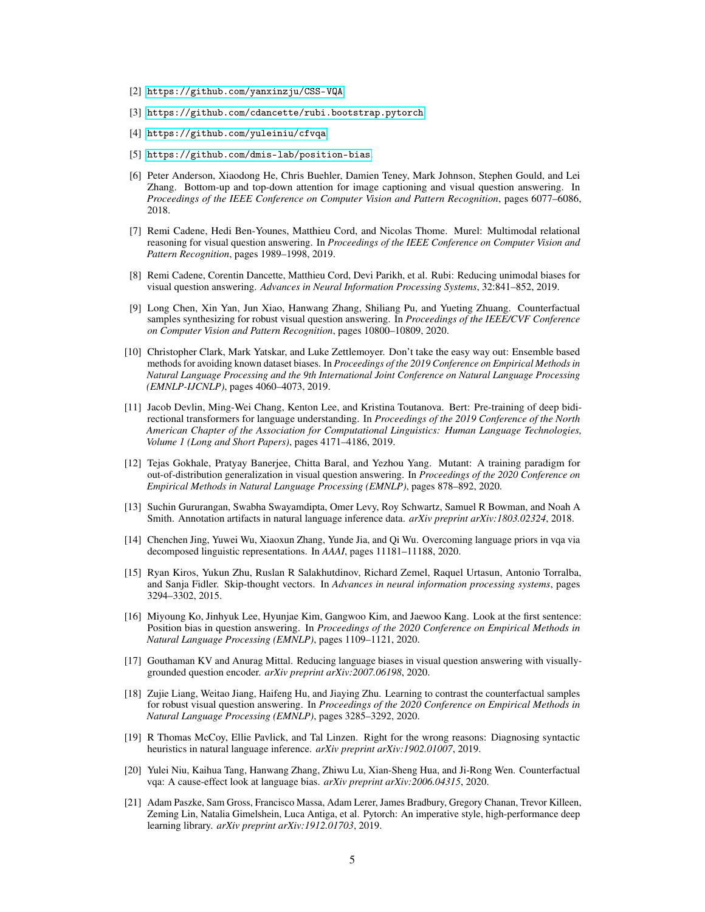- <span id="page-4-6"></span>[2] <https://github.com/yanxinzju/CSS-VQA>.
- <span id="page-4-8"></span>[3] <https://github.com/cdancette/rubi.bootstrap.pytorch>.
- <span id="page-4-11"></span>[4] <https://github.com/yuleiniu/cfvqa>.
- <span id="page-4-12"></span>[5] <https://github.com/dmis-lab/position-bias>.
- <span id="page-4-3"></span>[6] Peter Anderson, Xiaodong He, Chris Buehler, Damien Teney, Mark Johnson, Stephen Gould, and Lei Zhang. Bottom-up and top-down attention for image captioning and visual question answering. In *Proceedings of the IEEE Conference on Computer Vision and Pattern Recognition*, pages 6077–6086, 2018.
- <span id="page-4-9"></span>[7] Remi Cadene, Hedi Ben-Younes, Matthieu Cord, and Nicolas Thome. Murel: Multimodal relational reasoning for visual question answering. In *Proceedings of the IEEE Conference on Computer Vision and Pattern Recognition*, pages 1989–1998, 2019.
- <span id="page-4-7"></span>[8] Remi Cadene, Corentin Dancette, Matthieu Cord, Devi Parikh, et al. Rubi: Reducing unimodal biases for visual question answering. *Advances in Neural Information Processing Systems*, 32:841–852, 2019.
- <span id="page-4-5"></span>[9] Long Chen, Xin Yan, Jun Xiao, Hanwang Zhang, Shiliang Pu, and Yueting Zhuang. Counterfactual samples synthesizing for robust visual question answering. In *Proceedings of the IEEE/CVF Conference on Computer Vision and Pattern Recognition*, pages 10800–10809, 2020.
- <span id="page-4-2"></span>[10] Christopher Clark, Mark Yatskar, and Luke Zettlemoyer. Don't take the easy way out: Ensemble based methods for avoiding known dataset biases. In *Proceedings of the 2019 Conference on Empirical Methods in Natural Language Processing and the 9th International Joint Conference on Natural Language Processing (EMNLP-IJCNLP)*, pages 4060–4073, 2019.
- <span id="page-4-13"></span>[11] Jacob Devlin, Ming-Wei Chang, Kenton Lee, and Kristina Toutanova. Bert: Pre-training of deep bidirectional transformers for language understanding. In *Proceedings of the 2019 Conference of the North American Chapter of the Association for Computational Linguistics: Human Language Technologies, Volume 1 (Long and Short Papers)*, pages 4171–4186, 2019.
- <span id="page-4-17"></span>[12] Tejas Gokhale, Pratyay Banerjee, Chitta Baral, and Yezhou Yang. Mutant: A training paradigm for out-of-distribution generalization in visual question answering. In *Proceedings of the 2020 Conference on Empirical Methods in Natural Language Processing (EMNLP)*, pages 878–892, 2020.
- <span id="page-4-19"></span>[13] Suchin Gururangan, Swabha Swayamdipta, Omer Levy, Roy Schwartz, Samuel R Bowman, and Noah A Smith. Annotation artifacts in natural language inference data. *arXiv preprint arXiv:1803.02324*, 2018.
- <span id="page-4-14"></span>[14] Chenchen Jing, Yuwei Wu, Xiaoxun Zhang, Yunde Jia, and Qi Wu. Overcoming language priors in vqa via decomposed linguistic representations. In *AAAI*, pages 11181–11188, 2020.
- <span id="page-4-10"></span>[15] Ryan Kiros, Yukun Zhu, Ruslan R Salakhutdinov, Richard Zemel, Raquel Urtasun, Antonio Torralba, and Sanja Fidler. Skip-thought vectors. In *Advances in neural information processing systems*, pages 3294–3302, 2015.
- <span id="page-4-1"></span>[16] Miyoung Ko, Jinhyuk Lee, Hyunjae Kim, Gangwoo Kim, and Jaewoo Kang. Look at the first sentence: Position bias in question answering. In *Proceedings of the 2020 Conference on Empirical Methods in Natural Language Processing (EMNLP)*, pages 1109–1121, 2020.
- <span id="page-4-15"></span>[17] Gouthaman KV and Anurag Mittal. Reducing language biases in visual question answering with visuallygrounded question encoder. *arXiv preprint arXiv:2007.06198*, 2020.
- <span id="page-4-16"></span>[18] Zujie Liang, Weitao Jiang, Haifeng Hu, and Jiaying Zhu. Learning to contrast the counterfactual samples for robust visual question answering. In *Proceedings of the 2020 Conference on Empirical Methods in Natural Language Processing (EMNLP)*, pages 3285–3292, 2020.
- <span id="page-4-18"></span>[19] R Thomas McCoy, Ellie Pavlick, and Tal Linzen. Right for the wrong reasons: Diagnosing syntactic heuristics in natural language inference. *arXiv preprint arXiv:1902.01007*, 2019.
- <span id="page-4-0"></span>[20] Yulei Niu, Kaihua Tang, Hanwang Zhang, Zhiwu Lu, Xian-Sheng Hua, and Ji-Rong Wen. Counterfactual vqa: A cause-effect look at language bias. *arXiv preprint arXiv:2006.04315*, 2020.
- <span id="page-4-4"></span>[21] Adam Paszke, Sam Gross, Francisco Massa, Adam Lerer, James Bradbury, Gregory Chanan, Trevor Killeen, Zeming Lin, Natalia Gimelshein, Luca Antiga, et al. Pytorch: An imperative style, high-performance deep learning library. *arXiv preprint arXiv:1912.01703*, 2019.